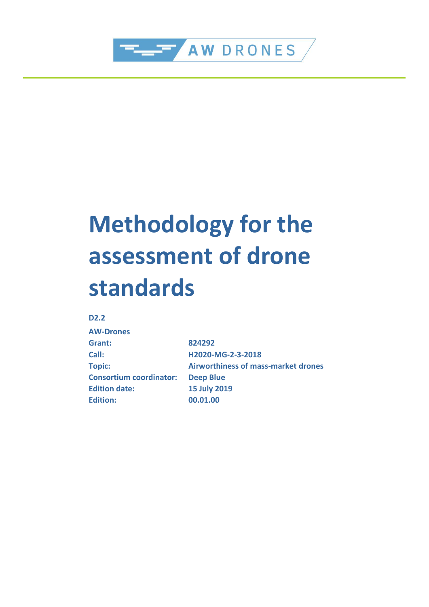

# **Methodology for the assessment of drone standards**

#### **D2.2**

| <b>AW-Drones</b>               |                                     |
|--------------------------------|-------------------------------------|
| Grant:                         | 824292                              |
| Call:                          | H2020-MG-2-3-2018                   |
| <b>Topic:</b>                  | Airworthiness of mass-market drones |
| <b>Consortium coordinator:</b> | <b>Deep Blue</b>                    |
| <b>Edition date:</b>           | <b>15 July 2019</b>                 |
| <b>Edition:</b>                | 00.01.00                            |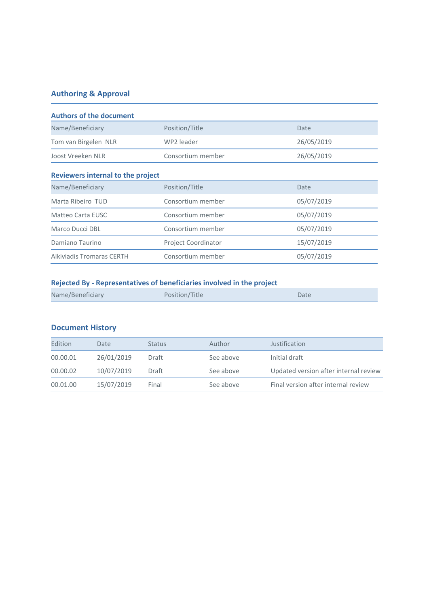### **Authoring & Approval**

| <b>Authors of the document</b>           |                            |            |  |  |
|------------------------------------------|----------------------------|------------|--|--|
| Name/Beneficiary                         | Position/Title             | Date       |  |  |
| Tom van Birgelen NLR                     | WP2 leader                 | 26/05/2019 |  |  |
| Joost Vreeken NLR<br>Consortium member   |                            | 26/05/2019 |  |  |
| <b>Reviewers internal to the project</b> |                            |            |  |  |
| Name/Beneficiary                         | Position/Title             | Date       |  |  |
| Marta Ribeiro TUD                        | Consortium member          | 05/07/2019 |  |  |
| Matteo Carta EUSC                        | Consortium member          | 05/07/2019 |  |  |
| Marco Ducci DBL                          | Consortium member          | 05/07/2019 |  |  |
| Damiano Taurino                          | <b>Project Coordinator</b> | 15/07/2019 |  |  |
| Alkiviadis Tromaras CERTH                | Consortium member          | 05/07/2019 |  |  |

#### **Rejected By - Representatives of beneficiaries involved in the project**

| Name/Beneficiary | Position/Title | Date |
|------------------|----------------|------|
|                  |                |      |

#### **Document History**

| Edition  | Date       | <b>Status</b> | Author    | Justification                         |
|----------|------------|---------------|-----------|---------------------------------------|
| 00.00.01 | 26/01/2019 | Draft         | See above | Initial draft                         |
| 00.00.02 | 10/07/2019 | Draft         | See above | Updated version after internal review |
| 00.01.00 | 15/07/2019 | Final         | See above | Final version after internal review   |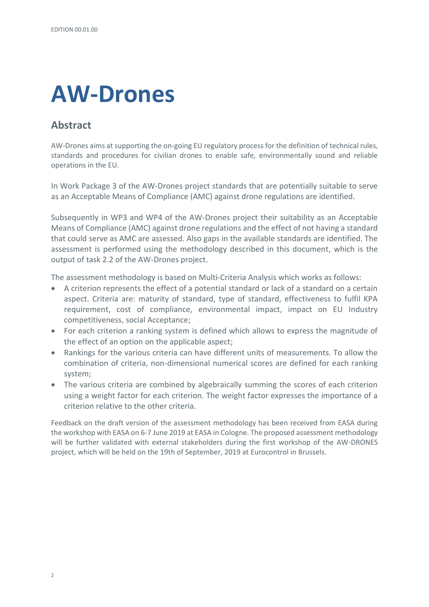# **AW-Drones**

## <span id="page-3-0"></span>**Abstract**

AW-Drones aims at supporting the on-going EU regulatory process for the definition of technical rules, standards and procedures for civilian drones to enable safe, environmentally sound and reliable operations in the EU.

In Work Package 3 of the AW-Drones project standards that are potentially suitable to serve as an Acceptable Means of Compliance (AMC) against drone regulations are identified.

Subsequently in WP3 and WP4 of the AW-Drones project their suitability as an Acceptable Means of Compliance (AMC) against drone regulations and the effect of not having a standard that could serve as AMC are assessed. Also gaps in the available standards are identified. The assessment is performed using the methodology described in this document, which is the output of task 2.2 of the AW-Drones project.

The assessment methodology is based on Multi-Criteria Analysis which works as follows:

- A criterion represents the effect of a potential standard or lack of a standard on a certain aspect. Criteria are: maturity of standard, type of standard, effectiveness to fulfil KPA requirement, cost of compliance, environmental impact, impact on EU Industry competitiveness, social Acceptance;
- For each criterion a ranking system is defined which allows to express the magnitude of the effect of an option on the applicable aspect;
- Rankings for the various criteria can have different units of measurements. To allow the combination of criteria, non-dimensional numerical scores are defined for each ranking system;
- The various criteria are combined by algebraically summing the scores of each criterion using a weight factor for each criterion. The weight factor expresses the importance of a criterion relative to the other criteria.

Feedback on the draft version of the assessment methodology has been received from EASA during the workshop with EASA on 6-7 June 2019 at EASA in Cologne. The proposed assessment methodology will be further validated with external stakeholders during the first workshop of the AW-DRONES project, which will be held on the 19th of September, 2019 at Eurocontrol in Brussels.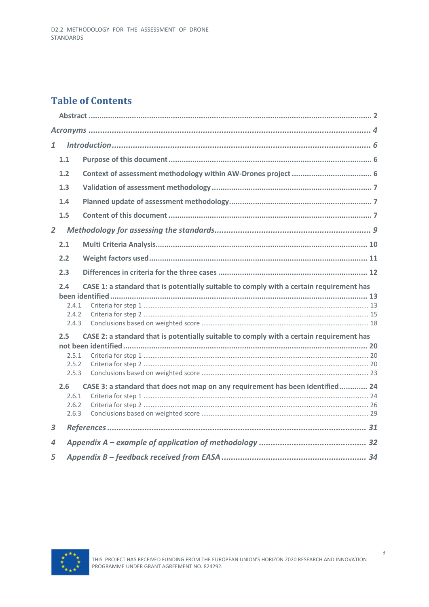# **Table of Contents**

| $\mathbf{1}$   |                                |                                                                                          |  |
|----------------|--------------------------------|------------------------------------------------------------------------------------------|--|
|                | 1.1                            |                                                                                          |  |
|                | 1.2                            |                                                                                          |  |
|                | 1.3                            |                                                                                          |  |
|                | 1.4                            |                                                                                          |  |
|                | 1.5                            |                                                                                          |  |
| $\overline{2}$ |                                |                                                                                          |  |
|                | 2.1                            |                                                                                          |  |
|                | 2.2                            |                                                                                          |  |
|                | 2.3                            |                                                                                          |  |
|                | 2.4<br>7.4.1<br>2.4.2<br>2.4.3 | CASE 1: a standard that is potentially suitable to comply with a certain requirement has |  |
|                | 2.5                            | CASE 2: a standard that is potentially suitable to comply with a certain requirement has |  |
|                | 2.5.1<br>2.5.2<br>2.5.3        |                                                                                          |  |
|                | 2.6<br>2.6.1<br>2.6.2<br>2.6.3 | CASE 3: a standard that does not map on any requirement has been identified 24           |  |
| 3              |                                |                                                                                          |  |
| 4              |                                |                                                                                          |  |
| 5              |                                |                                                                                          |  |

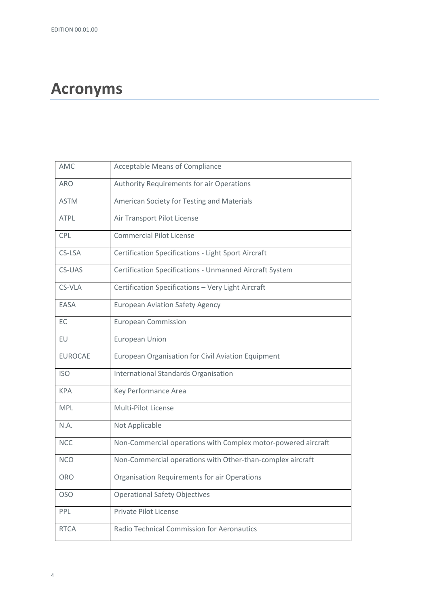# <span id="page-5-0"></span>**Acronyms**

| <b>Acceptable Means of Compliance</b>                         |
|---------------------------------------------------------------|
| <b>Authority Requirements for air Operations</b>              |
| American Society for Testing and Materials                    |
| Air Transport Pilot License                                   |
| <b>Commercial Pilot License</b>                               |
| <b>Certification Specifications - Light Sport Aircraft</b>    |
| Certification Specifications - Unmanned Aircraft System       |
| Certification Specifications - Very Light Aircraft            |
| <b>European Aviation Safety Agency</b>                        |
| <b>European Commission</b>                                    |
| <b>European Union</b>                                         |
| European Organisation for Civil Aviation Equipment            |
| <b>International Standards Organisation</b>                   |
| Key Performance Area                                          |
| Multi-Pilot License                                           |
| Not Applicable                                                |
| Non-Commercial operations with Complex motor-powered aircraft |
| Non-Commercial operations with Other-than-complex aircraft    |
| Organisation Requirements for air Operations                  |
| <b>Operational Safety Objectives</b>                          |
| Private Pilot License                                         |
| <b>Radio Technical Commission for Aeronautics</b>             |
|                                                               |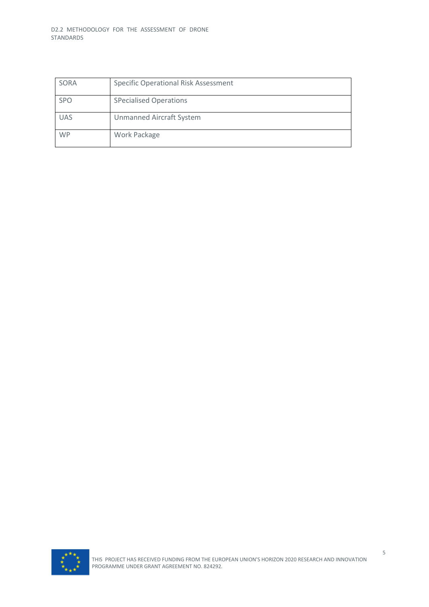| SORA       | <b>Specific Operational Risk Assessment</b> |
|------------|---------------------------------------------|
| <b>SPO</b> | <b>SPecialised Operations</b>               |
| <b>UAS</b> | <b>Unmanned Aircraft System</b>             |
| <b>WP</b>  | Work Package                                |

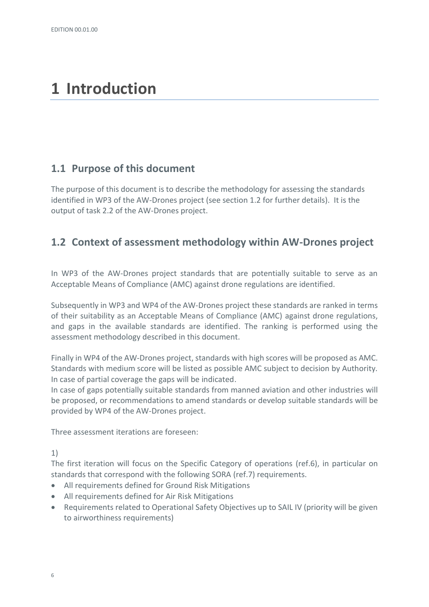# <span id="page-7-0"></span>**1 Introduction**

#### <span id="page-7-1"></span>**1.1 Purpose of this document**

The purpose of this document is to describe the methodology for assessing the standards identified in WP3 of the AW-Drones project (see sectio[n 1.2](#page-7-2) for further details). It is the output of task 2.2 of the AW-Drones project.

### <span id="page-7-2"></span>**1.2 Context of assessment methodology within AW-Drones project**

In WP3 of the AW-Drones project standards that are potentially suitable to serve as an Acceptable Means of Compliance (AMC) against drone regulations are identified.

Subsequently in WP3 and WP4 of the AW-Drones project these standards are ranked in terms of their suitability as an Acceptable Means of Compliance (AMC) against drone regulations, and gaps in the available standards are identified. The ranking is performed using the assessment methodology described in this document.

Finally in WP4 of the AW-Drones project, standards with high scores will be proposed as AMC. Standards with medium score will be listed as possible AMC subject to decision by Authority. In case of partial coverage the gaps will be indicated.

In case of gaps potentially suitable standards from manned aviation and other industries will be proposed, or recommendations to amend standards or develop suitable standards will be provided by WP4 of the AW-Drones project.

Three assessment iterations are foreseen:

1)

The first iteration will focus on the Specific Category of operations (ref.6), in particular on standards that correspond with the following SORA (ref.7) requirements.

- All requirements defined for Ground Risk Mitigations
- All requirements defined for Air Risk Mitigations
- Requirements related to Operational Safety Objectives up to SAIL IV (priority will be given to airworthiness requirements)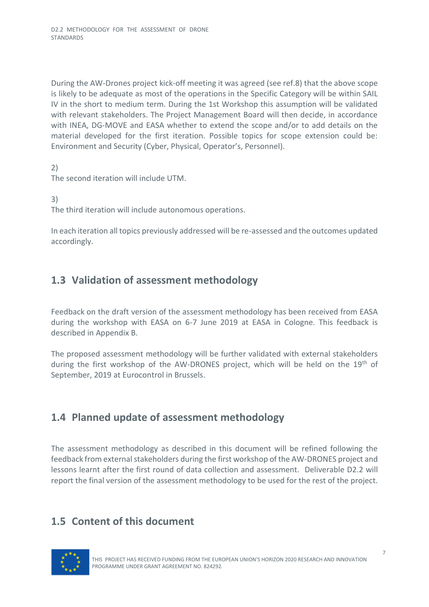During the AW-Drones project kick-off meeting it was agreed (see ref.8) that the above scope is likely to be adequate as most of the operations in the Specific Category will be within SAIL IV in the short to medium term. During the 1st Workshop this assumption will be validated with relevant stakeholders. The Project Management Board will then decide, in accordance with INEA, DG-MOVE and EASA whether to extend the scope and/or to add details on the material developed for the first iteration. Possible topics for scope extension could be: Environment and Security (Cyber, Physical, Operator's, Personnel).

2) The second iteration will include UTM.

3)

The third iteration will include autonomous operations.

In each iteration all topics previously addressed will be re-assessed and the outcomes updated accordingly.

## <span id="page-8-0"></span>**1.3 Validation of assessment methodology**

Feedback on the draft version of the assessment methodology has been received from EASA during the workshop with EASA on 6-7 June 2019 at EASA in Cologne. This feedback is described in Appendix B.

The proposed assessment methodology will be further validated with external stakeholders during the first workshop of the AW-DRONES project, which will be held on the 19<sup>th</sup> of September, 2019 at Eurocontrol in Brussels.

### <span id="page-8-1"></span>**1.4 Planned update of assessment methodology**

The assessment methodology as described in this document will be refined following the feedback from external stakeholders during the first workshop of the AW-DRONES project and lessons learnt after the first round of data collection and assessment. Deliverable D2.2 will report the final version of the assessment methodology to be used for the rest of the project.

# <span id="page-8-2"></span>**1.5 Content of this document**

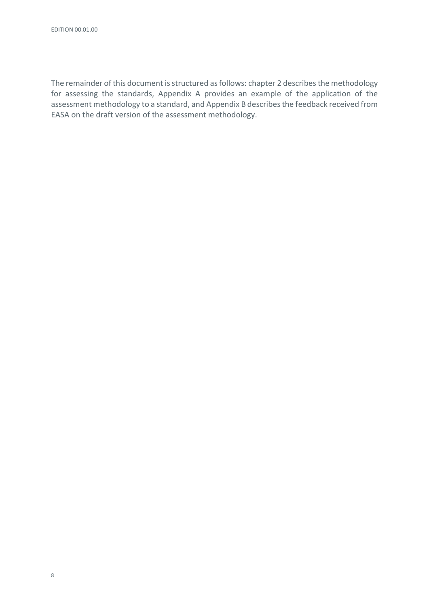The remainder of this document is structured as follows: chapte[r 2](#page-10-0) describes the methodology for assessing the standards, Appendix A provides an example of the application of the assessment methodology to a standard, and Appendix B describes the feedback received from EASA on the draft version of the assessment methodology.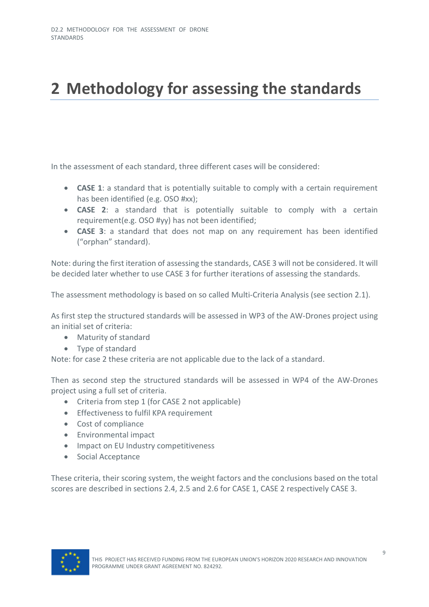# <span id="page-10-0"></span>**2 Methodology for assessing the standards**

In the assessment of each standard, three different cases will be considered:

- **CASE 1**: a standard that is potentially suitable to comply with a certain requirement has been identified (e.g. OSO #xx);
- **CASE 2**: a standard that is potentially suitable to comply with a certain requirement(e.g. OSO #yy) has not been identified;
- **CASE 3**: a standard that does not map on any requirement has been identified ("orphan" standard).

Note: during the first iteration of assessing the standards, CASE 3 will not be considered. It will be decided later whether to use CASE 3 for further iterations of assessing the standards.

The assessment methodology is based on so called Multi-Criteria Analysis (see section [2.1\)](#page-11-0).

As first step the structured standards will be assessed in WP3 of the AW-Drones project using an initial set of criteria:

- Maturity of standard
- Type of standard

Note: for case 2 these criteria are not applicable due to the lack of a standard.

Then as second step the structured standards will be assessed in WP4 of the AW-Drones project using a full set of criteria.

- Criteria from step 1 (for CASE 2 not applicable)
- Effectiveness to fulfil KPA requirement
- Cost of compliance
- Environmental impact
- Impact on EU Industry competitiveness
- Social Acceptance

These criteria, their scoring system, the weight factors and the conclusions based on the total scores are described in sections [2.4,](#page-14-0) [2.5](#page-21-0) an[d 2.6](#page-25-0) for CASE 1, CASE 2 respectively CASE 3.

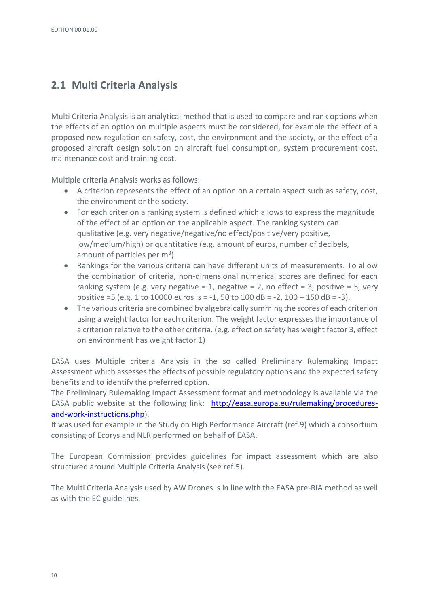# <span id="page-11-0"></span>**2.1 Multi Criteria Analysis**

Multi Criteria Analysis is an analytical method that is used to compare and rank options when the effects of an option on multiple aspects must be considered, for example the effect of a proposed new regulation on safety, cost, the environment and the society, or the effect of a proposed aircraft design solution on aircraft fuel consumption, system procurement cost, maintenance cost and training cost.

Multiple criteria Analysis works as follows:

- A criterion represents the effect of an option on a certain aspect such as safety, cost, the environment or the society.
- For each criterion a ranking system is defined which allows to express the magnitude of the effect of an option on the applicable aspect. The ranking system can qualitative (e.g. very negative/negative/no effect/positive/very positive, low/medium/high) or quantitative (e.g. amount of euros, number of decibels, amount of particles per  $m<sup>3</sup>$ ).
- Rankings for the various criteria can have different units of measurements. To allow the combination of criteria, non-dimensional numerical scores are defined for each ranking system (e.g. very negative = 1, negative = 2, no effect = 3, positive = 5, very positive =5 (e.g. 1 to 10000 euros is = -1, 50 to 100 dB = -2, 100 – 150 dB = -3).
- The various criteria are combined by algebraically summing the scores of each criterion using a weight factor for each criterion. The weight factor expresses the importance of a criterion relative to the other criteria. (e.g. effect on safety has weight factor 3, effect on environment has weight factor 1)

EASA uses Multiple criteria Analysis in the so called Preliminary Rulemaking Impact Assessment which assesses the effects of possible regulatory options and the expected safety benefits and to identify the preferred option.

The Preliminary Rulemaking Impact Assessment format and methodology is available via the EASA public website at the following link: [http://easa.europa.eu/rulemaking/procedures](http://easa.europa.eu/rulemaking/procedures-and-work-instructions.php)[and-work-instructions.php\)](http://easa.europa.eu/rulemaking/procedures-and-work-instructions.php).

It was used for example in the Study on High Performance Aircraft (ref.9) which a consortium consisting of Ecorys and NLR performed on behalf of EASA.

The European Commission provides guidelines for impact assessment which are also structured around Multiple Criteria Analysis (see ref.5).

The Multi Criteria Analysis used by AW Drones is in line with the EASA pre-RIA method as well as with the EC guidelines.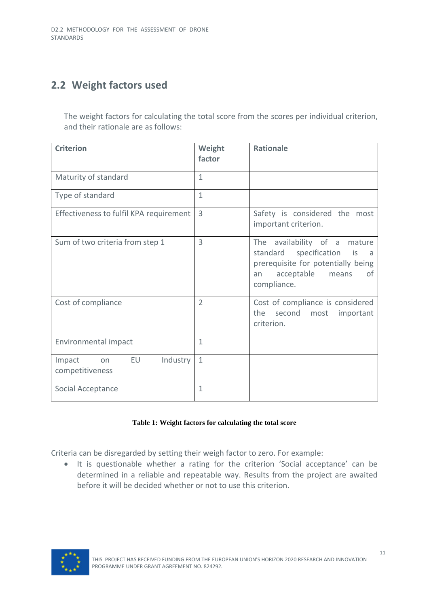# <span id="page-12-0"></span>**2.2 Weight factors used**

The weight factors for calculating the total score from the scores per individual criterion, and their rationale are as follows:

| <b>Criterion</b>                                         | Weight<br>factor | <b>Rationale</b>                                                                                                                                          |
|----------------------------------------------------------|------------------|-----------------------------------------------------------------------------------------------------------------------------------------------------------|
| Maturity of standard                                     | 1                |                                                                                                                                                           |
| Type of standard                                         | 1                |                                                                                                                                                           |
| Effectiveness to fulfil KPA requirement                  | 3                | Safety is considered the most<br>important criterion.                                                                                                     |
| Sum of two criteria from step 1                          | 3                | The availability of a mature<br>standard<br>specification is<br>a<br>prerequisite for potentially being<br>0f<br>acceptable<br>means<br>an<br>compliance. |
| Cost of compliance                                       | $\overline{2}$   | Cost of compliance is considered<br>second most<br>the<br>important<br>criterion.                                                                         |
| Environmental impact                                     | $\mathbf{1}$     |                                                                                                                                                           |
| <b>EU</b><br>Industry<br>Impact<br>on<br>competitiveness | $\mathbf{1}$     |                                                                                                                                                           |
| Social Acceptance                                        | 1                |                                                                                                                                                           |

#### **Table 1: Weight factors for calculating the total score**

Criteria can be disregarded by setting their weigh factor to zero. For example:

• It is questionable whether a rating for the criterion 'Social acceptance' can be determined in a reliable and repeatable way. Results from the project are awaited before it will be decided whether or not to use this criterion.

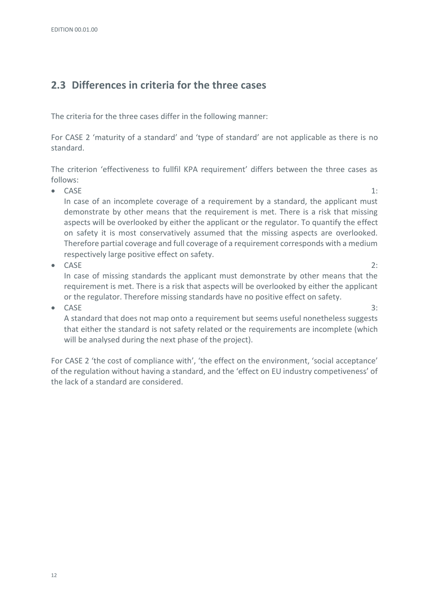# <span id="page-13-0"></span>**2.3 Differences in criteria for the three cases**

The criteria for the three cases differ in the following manner:

For CASE 2 'maturity of a standard' and 'type of standard' are not applicable as there is no standard.

The criterion 'effectiveness to fullfil KPA requirement' differs between the three cases as follows:

- $CASE 1:$ In case of an incomplete coverage of a requirement by a standard, the applicant must demonstrate by other means that the requirement is met. There is a risk that missing aspects will be overlooked by either the applicant or the regulator. To quantify the effect on safety it is most conservatively assumed that the missing aspects are overlooked. Therefore partial coverage and full coverage of a requirement corresponds with a medium respectively large positive effect on safety.
- $CASE$   $2:$ In case of missing standards the applicant must demonstrate by other means that the requirement is met. There is a risk that aspects will be overlooked by either the applicant or the regulator. Therefore missing standards have no positive effect on safety.
- CASE 3:

A standard that does not map onto a requirement but seems useful nonetheless suggests that either the standard is not safety related or the requirements are incomplete (which will be analysed during the next phase of the project).

For CASE 2 'the cost of compliance with', 'the effect on the environment, 'social acceptance' of the regulation without having a standard, and the 'effect on EU industry competiveness' of the lack of a standard are considered.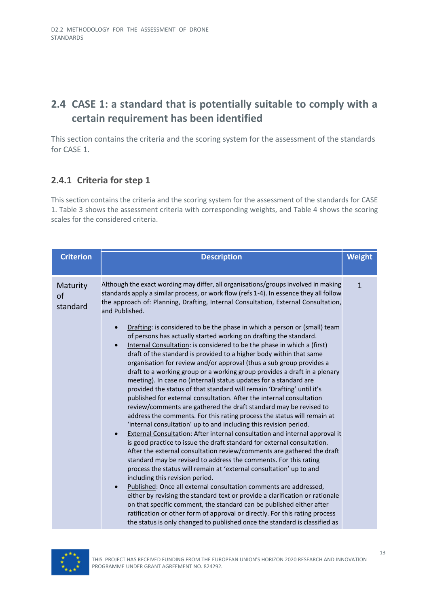# <span id="page-14-0"></span>**2.4 CASE 1: a standard that is potentially suitable to comply with a certain requirement has been identified**

This section contains the criteria and the scoring system for the assessment of the standards for CASE 1.

#### <span id="page-14-1"></span>**2.4.1 Criteria for step 1**

This section contains the criteria and the scoring system for the assessment of the standards for CASE 1. [Table 3](#page-15-0) shows the assessment criteria with corresponding weights, and [Table 4](#page-18-0) shows the scoring scales for the considered criteria.

| <b>Criterion</b>           | <b>Description</b>                                                                                                                                                                                                                                                                                                                                                                                                                                                                                                                                                                                                                                                                                                                                                                                                                                                                                                                                                                                                                                                                                                                                                                                                                                                                                                                                                                                                                                                                                                                                                                                                                                                                                                                                                                                      | <b>Weight</b> |
|----------------------------|---------------------------------------------------------------------------------------------------------------------------------------------------------------------------------------------------------------------------------------------------------------------------------------------------------------------------------------------------------------------------------------------------------------------------------------------------------------------------------------------------------------------------------------------------------------------------------------------------------------------------------------------------------------------------------------------------------------------------------------------------------------------------------------------------------------------------------------------------------------------------------------------------------------------------------------------------------------------------------------------------------------------------------------------------------------------------------------------------------------------------------------------------------------------------------------------------------------------------------------------------------------------------------------------------------------------------------------------------------------------------------------------------------------------------------------------------------------------------------------------------------------------------------------------------------------------------------------------------------------------------------------------------------------------------------------------------------------------------------------------------------------------------------------------------------|---------------|
| Maturity<br>of<br>standard | Although the exact wording may differ, all organisations/groups involved in making<br>standards apply a similar process, or work flow (refs 1-4). In essence they all follow<br>the approach of: Planning, Drafting, Internal Consultation, External Consultation,<br>and Published.<br>Drafting: is considered to be the phase in which a person or (small) team<br>of persons has actually started working on drafting the standard.<br>Internal Consultation: is considered to be the phase in which a (first)<br>$\bullet$<br>draft of the standard is provided to a higher body within that same<br>organisation for review and/or approval (thus a sub group provides a<br>draft to a working group or a working group provides a draft in a plenary<br>meeting). In case no (internal) status updates for a standard are<br>provided the status of that standard will remain 'Drafting' until it's<br>published for external consultation. After the internal consultation<br>review/comments are gathered the draft standard may be revised to<br>address the comments. For this rating process the status will remain at<br>'internal consultation' up to and including this revision period.<br>External Consultation: After internal consultation and internal approval it<br>$\bullet$<br>is good practice to issue the draft standard for external consultation.<br>After the external consultation review/comments are gathered the draft<br>standard may be revised to address the comments. For this rating<br>process the status will remain at 'external consultation' up to and<br>including this revision period.<br>Published: Once all external consultation comments are addressed,<br>$\bullet$<br>either by revising the standard text or provide a clarification or rationale | $\mathbf{1}$  |
|                            | on that specific comment, the standard can be published either after<br>ratification or other form of approval or directly. For this rating process<br>the status is only changed to published once the standard is classified as                                                                                                                                                                                                                                                                                                                                                                                                                                                                                                                                                                                                                                                                                                                                                                                                                                                                                                                                                                                                                                                                                                                                                                                                                                                                                                                                                                                                                                                                                                                                                                       |               |

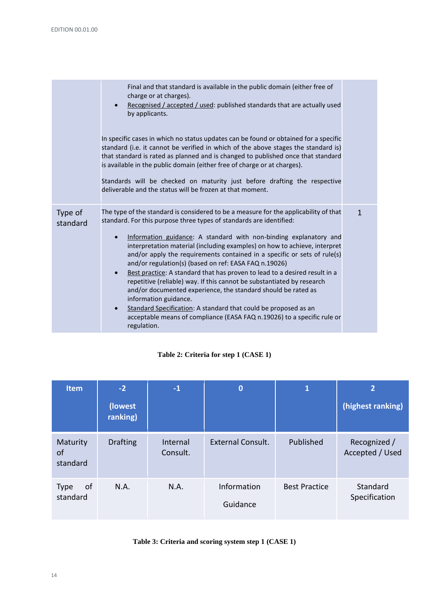|                     | Final and that standard is available in the public domain (either free of<br>charge or at charges).<br>Recognised / accepted / used: published standards that are actually used<br>$\bullet$<br>by applicants.                                                                                                                                                                                                                                                                                                                                                                                                                                                                                        |   |
|---------------------|-------------------------------------------------------------------------------------------------------------------------------------------------------------------------------------------------------------------------------------------------------------------------------------------------------------------------------------------------------------------------------------------------------------------------------------------------------------------------------------------------------------------------------------------------------------------------------------------------------------------------------------------------------------------------------------------------------|---|
|                     | In specific cases in which no status updates can be found or obtained for a specific<br>standard (i.e. it cannot be verified in which of the above stages the standard is)<br>that standard is rated as planned and is changed to published once that standard<br>is available in the public domain (either free of charge or at charges).                                                                                                                                                                                                                                                                                                                                                            |   |
|                     | Standards will be checked on maturity just before drafting the respective<br>deliverable and the status will be frozen at that moment.                                                                                                                                                                                                                                                                                                                                                                                                                                                                                                                                                                |   |
| Type of<br>standard | The type of the standard is considered to be a measure for the applicability of that<br>standard. For this purpose three types of standards are identified:<br>Information guidance: A standard with non-binding explanatory and<br>$\bullet$<br>interpretation material (including examples) on how to achieve, interpret<br>and/or apply the requirements contained in a specific or sets of rule(s)<br>and/or regulation(s) (based on ref: EASA FAQ n.19026)<br>Best practice: A standard that has proven to lead to a desired result in a<br>$\bullet$<br>repetitive (reliable) way. If this cannot be substantiated by research<br>and/or documented experience, the standard should be rated as | 1 |
|                     | information guidance.<br>Standard Specification: A standard that could be proposed as an<br>$\bullet$<br>acceptable means of compliance (EASA FAQ n.19026) to a specific rule or<br>regulation.                                                                                                                                                                                                                                                                                                                                                                                                                                                                                                       |   |

#### **Table 2: Criteria for step 1 (CASE 1)**

| <b>Item</b>                           | $-2$                 | $-1$                 | $\bf{0}$                 | $\mathbf{1}$         | $\overline{2}$                  |
|---------------------------------------|----------------------|----------------------|--------------------------|----------------------|---------------------------------|
|                                       | (lowest)<br>ranking) |                      |                          |                      | (highest ranking)               |
| Maturity<br><sub>of</sub><br>standard | <b>Drafting</b>      | Internal<br>Consult. | <b>External Consult.</b> | Published            | Recognized /<br>Accepted / Used |
| 0f<br><b>Type</b><br>standard         | N.A.                 | N.A.                 | Information<br>Guidance  | <b>Best Practice</b> | Standard<br>Specification       |

### <span id="page-15-0"></span>**Table 3: Criteria and scoring system step 1 (CASE 1)**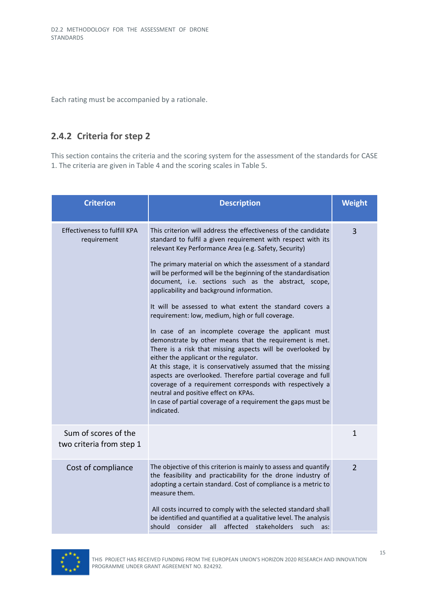Each rating must be accompanied by a rationale.

#### <span id="page-16-0"></span>**2.4.2 Criteria for step 2**

This section contains the criteria and the scoring system for the assessment of the standards for CASE 1. The criteria are given in [Table 4](#page-18-0) and the scoring scales i[n Table 5.](#page-19-1)

| <b>Criterion</b>                                   | <b>Description</b>                                                                                                                                                                                                                                                                                                                                                                                                                                                                                                                                                                                                                                                                                                                                                                                                                                                                                                                                                                                                                                                                         | <b>Weight</b>  |
|----------------------------------------------------|--------------------------------------------------------------------------------------------------------------------------------------------------------------------------------------------------------------------------------------------------------------------------------------------------------------------------------------------------------------------------------------------------------------------------------------------------------------------------------------------------------------------------------------------------------------------------------------------------------------------------------------------------------------------------------------------------------------------------------------------------------------------------------------------------------------------------------------------------------------------------------------------------------------------------------------------------------------------------------------------------------------------------------------------------------------------------------------------|----------------|
| <b>Effectiveness to fulfill KPA</b><br>requirement | This criterion will address the effectiveness of the candidate<br>standard to fulfil a given requirement with respect with its<br>relevant Key Performance Area (e.g. Safety, Security)<br>The primary material on which the assessment of a standard<br>will be performed will be the beginning of the standardisation<br>document, i.e. sections such as the abstract, scope,<br>applicability and background information.<br>It will be assessed to what extent the standard covers a<br>requirement: low, medium, high or full coverage.<br>In case of an incomplete coverage the applicant must<br>demonstrate by other means that the requirement is met.<br>There is a risk that missing aspects will be overlooked by<br>either the applicant or the regulator.<br>At this stage, it is conservatively assumed that the missing<br>aspects are overlooked. Therefore partial coverage and full<br>coverage of a requirement corresponds with respectively a<br>neutral and positive effect on KPAs.<br>In case of partial coverage of a requirement the gaps must be<br>indicated. | $\overline{3}$ |
| Sum of scores of the<br>two criteria from step 1   |                                                                                                                                                                                                                                                                                                                                                                                                                                                                                                                                                                                                                                                                                                                                                                                                                                                                                                                                                                                                                                                                                            | 1              |
| Cost of compliance                                 | The objective of this criterion is mainly to assess and quantify<br>the feasibility and practicability for the drone industry of<br>adopting a certain standard. Cost of compliance is a metric to<br>measure them.<br>All costs incurred to comply with the selected standard shall<br>be identified and quantified at a qualitative level. The analysis<br>affected stakeholders such<br>consider all<br>should<br>as:                                                                                                                                                                                                                                                                                                                                                                                                                                                                                                                                                                                                                                                                   | $\overline{2}$ |

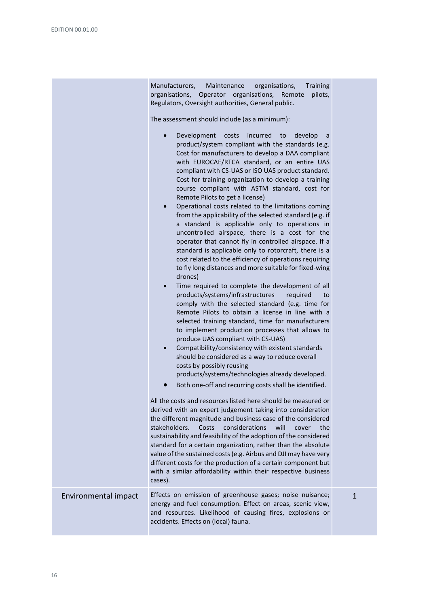|                      | Manufacturers,<br>Training<br>Maintenance<br>organisations,<br>organisations,<br>Operator organisations,<br>pilots,<br>Remote<br>Regulators, Oversight authorities, General public.<br>The assessment should include (as a minimum):<br>Development<br>costs incurred<br>to<br>develop<br>$\bullet$<br>a<br>product/system compliant with the standards (e.g.<br>Cost for manufacturers to develop a DAA compliant<br>with EUROCAE/RTCA standard, or an entire UAS<br>compliant with CS-UAS or ISO UAS product standard.<br>Cost for training organization to develop a training<br>course compliant with ASTM standard, cost for<br>Remote Pilots to get a license)<br>Operational costs related to the limitations coming<br>$\bullet$<br>from the applicability of the selected standard (e.g. if<br>a standard is applicable only to operations in<br>uncontrolled airspace, there is a cost for the<br>operator that cannot fly in controlled airspace. If a<br>standard is applicable only to rotorcraft, there is a<br>cost related to the efficiency of operations requiring<br>to fly long distances and more suitable for fixed-wing<br>drones)<br>Time required to complete the development of all<br>$\bullet$<br>products/systems/infrastructures<br>required<br>to<br>comply with the selected standard (e.g. time for<br>Remote Pilots to obtain a license in line with a<br>selected training standard, time for manufacturers<br>to implement production processes that allows to<br>produce UAS compliant with CS-UAS)<br>Compatibility/consistency with existent standards<br>$\bullet$<br>should be considered as a way to reduce overall<br>costs by possibly reusing<br>products/systems/technologies already developed.<br>Both one-off and recurring costs shall be identified.<br>$\bullet$<br>All the costs and resources listed here should be measured or<br>derived with an expert judgement taking into consideration<br>the different magnitude and business case of the considered<br>stakeholders.<br>considerations<br>will<br>Costs<br>cover<br>the<br>sustainability and feasibility of the adoption of the considered<br>standard for a certain organization, rather than the absolute<br>value of the sustained costs (e.g. Airbus and DJI may have very<br>different costs for the production of a certain component but<br>with a similar affordability within their respective business<br>cases). |   |
|----------------------|---------------------------------------------------------------------------------------------------------------------------------------------------------------------------------------------------------------------------------------------------------------------------------------------------------------------------------------------------------------------------------------------------------------------------------------------------------------------------------------------------------------------------------------------------------------------------------------------------------------------------------------------------------------------------------------------------------------------------------------------------------------------------------------------------------------------------------------------------------------------------------------------------------------------------------------------------------------------------------------------------------------------------------------------------------------------------------------------------------------------------------------------------------------------------------------------------------------------------------------------------------------------------------------------------------------------------------------------------------------------------------------------------------------------------------------------------------------------------------------------------------------------------------------------------------------------------------------------------------------------------------------------------------------------------------------------------------------------------------------------------------------------------------------------------------------------------------------------------------------------------------------------------------------------------------------------------------------------------------------------------------------------------------------------------------------------------------------------------------------------------------------------------------------------------------------------------------------------------------------------------------------------------------------------------------------------------------------------------------------------------------------------------------------------------------------------|---|
| Environmental impact | Effects on emission of greenhouse gases; noise nuisance;<br>energy and fuel consumption. Effect on areas, scenic view,<br>and resources. Likelihood of causing fires, explosions or<br>accidents. Effects on (local) fauna.                                                                                                                                                                                                                                                                                                                                                                                                                                                                                                                                                                                                                                                                                                                                                                                                                                                                                                                                                                                                                                                                                                                                                                                                                                                                                                                                                                                                                                                                                                                                                                                                                                                                                                                                                                                                                                                                                                                                                                                                                                                                                                                                                                                                                 | 1 |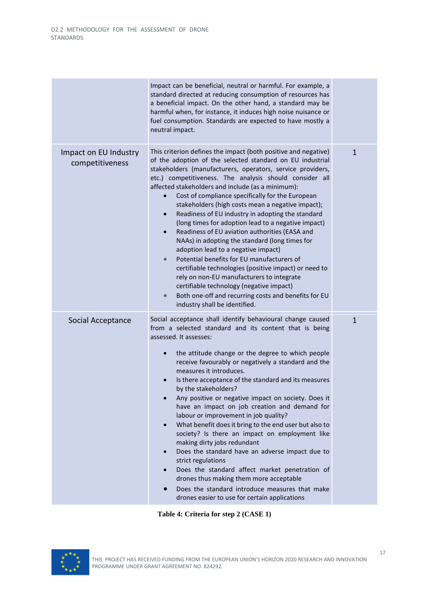|                                          | Impact can be beneficial, neutral or harmful. For example, a<br>standard directed at reducing consumption of resources has<br>a beneficial impact. On the other hand, a standard may be<br>harmful when, for instance, it induces high noise nuisance or<br>fuel consumption. Standards are expected to have mostly a<br>neutral impact.                                                                                                                                                                                                                                                                                                                                                                                                                                                                                                                                                                                                                                                                               |              |
|------------------------------------------|------------------------------------------------------------------------------------------------------------------------------------------------------------------------------------------------------------------------------------------------------------------------------------------------------------------------------------------------------------------------------------------------------------------------------------------------------------------------------------------------------------------------------------------------------------------------------------------------------------------------------------------------------------------------------------------------------------------------------------------------------------------------------------------------------------------------------------------------------------------------------------------------------------------------------------------------------------------------------------------------------------------------|--------------|
| Impact on EU Industry<br>competitiveness | This criterion defines the impact (both positive and negative)<br>of the adoption of the selected standard on EU industrial<br>stakeholders (manufacturers, operators, service providers,<br>etc.) competitiveness. The analysis should consider all<br>affected stakeholders and include (as a minimum):<br>Cost of compliance specifically for the European<br>stakeholders (high costs mean a negative impact);<br>Readiness of EU industry in adopting the standard<br>$\bullet$<br>(long times for adoption lead to a negative impact)<br>Readiness of EU aviation authorities (EASA and<br>$\bullet$<br>NAAs) in adopting the standard (long times for<br>adoption lead to a negative impact)<br>Potential benefits for EU manufacturers of<br>$\bullet$<br>certifiable technologies (positive impact) or need to<br>rely on non-EU manufacturers to integrate<br>certifiable technology (negative impact)<br>Both one-off and recurring costs and benefits for EU<br>$\bullet$<br>industry shall be identified. | $\mathbf{1}$ |
| Social Acceptance                        | Social acceptance shall identify behavioural change caused<br>from a selected standard and its content that is being<br>assessed. It assesses:<br>the attitude change or the degree to which people<br>$\bullet$<br>receive favourably or negatively a standard and the<br>measures it introduces.<br>Is there acceptance of the standard and its measures<br>$\bullet$<br>by the stakeholders?<br>Any positive or negative impact on society. Does it<br>have an impact on job creation and demand for<br>labour or improvement in job quality?<br>What benefit does it bring to the end user but also to<br>$\bullet$<br>society? Is there an impact on employment like<br>making dirty jobs redundant<br>Does the standard have an adverse impact due to<br>$\bullet$<br>strict regulations<br>Does the standard affect market penetration of<br>$\bullet$<br>drones thus making them more acceptable<br>Does the standard introduce measures that make<br>drones easier to use for certain applications            | $\mathbf{1}$ |

**Table 4: Criteria for step 2 (CASE 1)**

<span id="page-18-0"></span>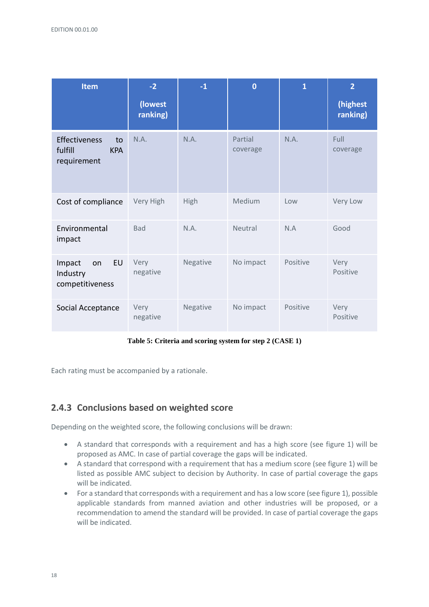| <b>Item</b>                                                 | $-2$                | $-1$        | $\bf{0}$            | $\mathbf{1}$ | $\overline{2}$       |
|-------------------------------------------------------------|---------------------|-------------|---------------------|--------------|----------------------|
|                                                             | (lowest<br>ranking) |             |                     |              | (highest<br>ranking) |
| Effectiveness<br>to<br>fulfill<br><b>KPA</b><br>requirement | N.A.                | N.A.        | Partial<br>coverage | N.A.         | Full<br>coverage     |
| Cost of compliance                                          | Very High           | <b>High</b> | Medium              | Low          | Very Low             |
| Environmental<br>impact                                     | <b>Bad</b>          | N.A.        | Neutral             | N.A          | Good                 |
| EU<br>Impact<br>on<br>Industry<br>competitiveness           | Very<br>negative    | Negative    | No impact           | Positive     | Very<br>Positive     |
| Social Acceptance                                           | Very<br>negative    | Negative    | No impact           | Positive     | Very<br>Positive     |

**Table 5: Criteria and scoring system for step 2 (CASE 1)**

<span id="page-19-1"></span>Each rating must be accompanied by a rationale.

#### <span id="page-19-0"></span>**2.4.3 Conclusions based on weighted score**

Depending on the weighted score, the following conclusions will be drawn:

- A standard that corresponds with a requirement and has a high score (see figure 1) will be proposed as AMC. In case of partial coverage the gaps will be indicated.
- A standard that correspond with a requirement that has a medium score (see figure 1) will be listed as possible AMC subject to decision by Authority. In case of partial coverage the gaps will be indicated.
- For a standard that corresponds with a requirement and has a low score (see figure 1), possible applicable standards from manned aviation and other industries will be proposed, or a recommendation to amend the standard will be provided. In case of partial coverage the gaps will be indicated.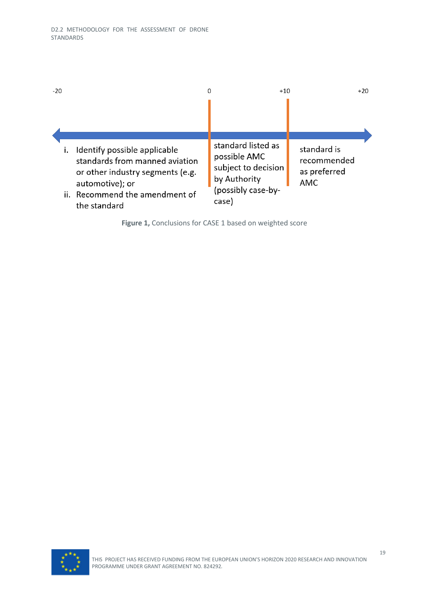| $-20$                                                                                                                                                                      | 0 | $+10$                                                                                                    | $+20$                                             |
|----------------------------------------------------------------------------------------------------------------------------------------------------------------------------|---|----------------------------------------------------------------------------------------------------------|---------------------------------------------------|
|                                                                                                                                                                            |   |                                                                                                          |                                                   |
| i. Identify possible applicable<br>standards from manned aviation<br>or other industry segments (e.g.<br>automotive); or<br>ii. Recommend the amendment of<br>the standard |   | standard listed as<br>possible AMC<br>subject to decision<br>by Authority<br>(possibly case-by-<br>case) | standard is<br>recommended<br>as preferred<br>AMC |

**Figure 1,** Conclusions for CASE 1 based on weighted score

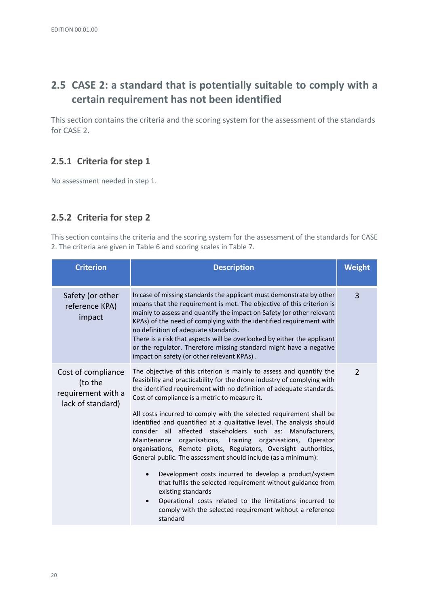# <span id="page-21-0"></span>**2.5 CASE 2: a standard that is potentially suitable to comply with a certain requirement has not been identified**

This section contains the criteria and the scoring system for the assessment of the standards for CASE 2.

#### <span id="page-21-1"></span>**2.5.1 Criteria for step 1**

No assessment needed in step 1.

#### <span id="page-21-2"></span>**2.5.2 Criteria for step 2**

This section contains the criteria and the scoring system for the assessment of the standards for CASE 2. The criteria are given i[n Table 6](#page-22-0) and scoring scales in [Table 7.](#page-23-0)

| <b>Criterion</b>                                                         | <b>Description</b>                                                                                                                                                                                                                                                                                                                                                                                                                                                                                                                                                                                                                                                                                                                                                                                                                                                                                                                                                                               | Weight         |
|--------------------------------------------------------------------------|--------------------------------------------------------------------------------------------------------------------------------------------------------------------------------------------------------------------------------------------------------------------------------------------------------------------------------------------------------------------------------------------------------------------------------------------------------------------------------------------------------------------------------------------------------------------------------------------------------------------------------------------------------------------------------------------------------------------------------------------------------------------------------------------------------------------------------------------------------------------------------------------------------------------------------------------------------------------------------------------------|----------------|
| Safety (or other<br>reference KPA)<br>impact                             | In case of missing standards the applicant must demonstrate by other<br>means that the requirement is met. The objective of this criterion is<br>mainly to assess and quantify the impact on Safety (or other relevant<br>KPAs) of the need of complying with the identified requirement with<br>no definition of adequate standards.<br>There is a risk that aspects will be overlooked by either the applicant<br>or the regulator. Therefore missing standard might have a negative<br>impact on safety (or other relevant KPAs).                                                                                                                                                                                                                                                                                                                                                                                                                                                             | $\overline{3}$ |
| Cost of compliance<br>(to the<br>requirement with a<br>lack of standard) | The objective of this criterion is mainly to assess and quantify the<br>feasibility and practicability for the drone industry of complying with<br>the identified requirement with no definition of adequate standards.<br>Cost of compliance is a metric to measure it.<br>All costs incurred to comply with the selected requirement shall be<br>identified and quantified at a qualitative level. The analysis should<br>consider all affected stakeholders such as: Manufacturers,<br>organisations, Training organisations,<br>Maintenance<br>Operator<br>organisations, Remote pilots, Regulators, Oversight authorities,<br>General public. The assessment should include (as a minimum):<br>Development costs incurred to develop a product/system<br>that fulfils the selected requirement without guidance from<br>existing standards<br>Operational costs related to the limitations incurred to<br>$\bullet$<br>comply with the selected requirement without a reference<br>standard |                |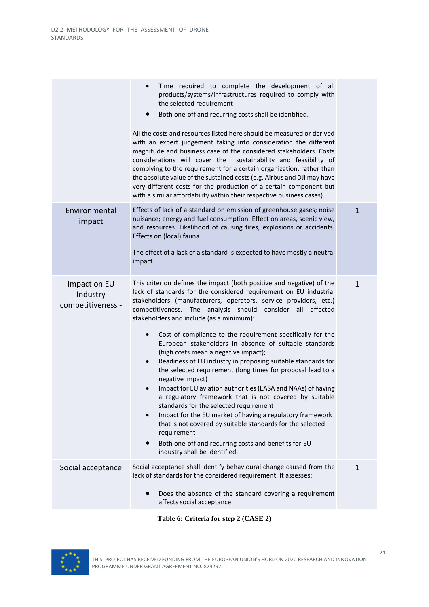|                                               | Time required to complete the development of all<br>$\bullet$<br>products/systems/infrastructures required to comply with<br>the selected requirement<br>Both one-off and recurring costs shall be identified.<br>$\bullet$<br>All the costs and resources listed here should be measured or derived<br>with an expert judgement taking into consideration the different<br>magnitude and business case of the considered stakeholders. Costs<br>considerations will cover the sustainability and feasibility of<br>complying to the requirement for a certain organization, rather than<br>the absolute value of the sustained costs (e.g. Airbus and DJI may have<br>very different costs for the production of a certain component but<br>with a similar affordability within their respective business cases).                                                                                                                                                                                                                                                                                                     |              |
|-----------------------------------------------|------------------------------------------------------------------------------------------------------------------------------------------------------------------------------------------------------------------------------------------------------------------------------------------------------------------------------------------------------------------------------------------------------------------------------------------------------------------------------------------------------------------------------------------------------------------------------------------------------------------------------------------------------------------------------------------------------------------------------------------------------------------------------------------------------------------------------------------------------------------------------------------------------------------------------------------------------------------------------------------------------------------------------------------------------------------------------------------------------------------------|--------------|
| Environmental<br>impact                       | Effects of lack of a standard on emission of greenhouse gases; noise<br>nuisance; energy and fuel consumption. Effect on areas, scenic view,<br>and resources. Likelihood of causing fires, explosions or accidents.<br>Effects on (local) fauna.<br>The effect of a lack of a standard is expected to have mostly a neutral<br>impact.                                                                                                                                                                                                                                                                                                                                                                                                                                                                                                                                                                                                                                                                                                                                                                                | $\mathbf{1}$ |
| Impact on EU<br>Industry<br>competitiveness - | This criterion defines the impact (both positive and negative) of the<br>lack of standards for the considered requirement on EU industrial<br>stakeholders (manufacturers, operators, service providers, etc.)<br>competitiveness. The analysis should consider all<br>affected<br>stakeholders and include (as a minimum):<br>Cost of compliance to the requirement specifically for the<br>$\bullet$<br>European stakeholders in absence of suitable standards<br>(high costs mean a negative impact);<br>Readiness of EU industry in proposing suitable standards for<br>$\bullet$<br>the selected requirement (long times for proposal lead to a<br>negative impact)<br>Impact for EU aviation authorities (EASA and NAAs) of having<br>$\bullet$<br>a regulatory framework that is not covered by suitable<br>standards for the selected requirement<br>Impact for the EU market of having a regulatory framework<br>$\bullet$<br>that is not covered by suitable standards for the selected<br>requirement<br>Both one-off and recurring costs and benefits for EU<br>$\bullet$<br>industry shall be identified. | 1            |
| Social acceptance                             | Social acceptance shall identify behavioural change caused from the<br>lack of standards for the considered requirement. It assesses:<br>Does the absence of the standard covering a requirement<br>affects social acceptance                                                                                                                                                                                                                                                                                                                                                                                                                                                                                                                                                                                                                                                                                                                                                                                                                                                                                          | 1            |
|                                               |                                                                                                                                                                                                                                                                                                                                                                                                                                                                                                                                                                                                                                                                                                                                                                                                                                                                                                                                                                                                                                                                                                                        |              |

**Table 6: Criteria for step 2 (CASE 2)**

<span id="page-22-0"></span>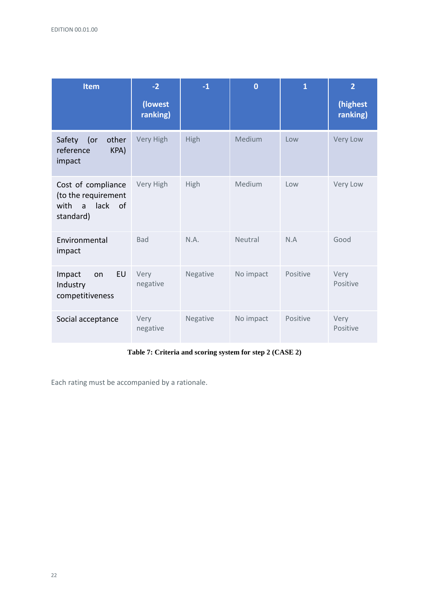| <b>Item</b>                                                                                 | $-2$                | $-1$     | $\overline{0}$ | 1        | $\overline{2}$       |
|---------------------------------------------------------------------------------------------|---------------------|----------|----------------|----------|----------------------|
|                                                                                             | (lowest<br>ranking) |          |                |          | (highest<br>ranking) |
| Safety<br>other<br>(<br>reference<br>KPA)<br>impact                                         | Very High           | High     | Medium         | Low      | Very Low             |
| Cost of compliance<br>(to the requirement<br>with<br>lack of<br>$\overline{a}$<br>standard) | Very High           | High     | Medium         | Low      | Very Low             |
| Environmental<br>impact                                                                     | <b>Bad</b>          | N.A.     | Neutral        | N.A      | Good                 |
| <b>EU</b><br>Impact<br>on<br>Industry<br>competitiveness                                    | Very<br>negative    | Negative | No impact      | Positive | Very<br>Positive     |
| Social acceptance                                                                           | Very<br>negative    | Negative | No impact      | Positive | Very<br>Positive     |

**Table 7: Criteria and scoring system for step 2 (CASE 2)**

<span id="page-23-0"></span>Each rating must be accompanied by a rationale.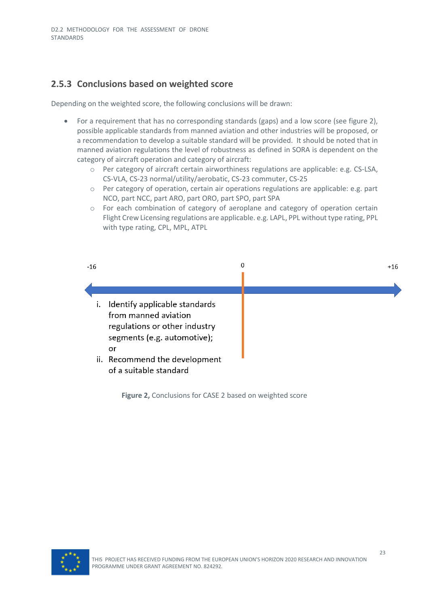### <span id="page-24-0"></span>**2.5.3 Conclusions based on weighted score**

Depending on the weighted score, the following conclusions will be drawn:

- For a requirement that has no corresponding standards (gaps) and a low score (see figure 2), possible applicable standards from manned aviation and other industries will be proposed, or a recommendation to develop a suitable standard will be provided. It should be noted that in manned aviation regulations the level of robustness as defined in SORA is dependent on the category of aircraft operation and category of aircraft:
	- o Per category of aircraft certain airworthiness regulations are applicable: e.g. CS-LSA, CS-VLA, CS-23 normal/utility/aerobatic, CS-23 commuter, CS-25
	- o Per category of operation, certain air operations regulations are applicable: e.g. part NCO, part NCC, part ARO, part ORO, part SPO, part SPA
	- o For each combination of category of aeroplane and category of operation certain Flight Crew Licensing regulations are applicable. e.g. LAPL, PPL without type rating, PPL with type rating, CPL, MPL, ATPL



**Figure 2,** Conclusions for CASE 2 based on weighted score

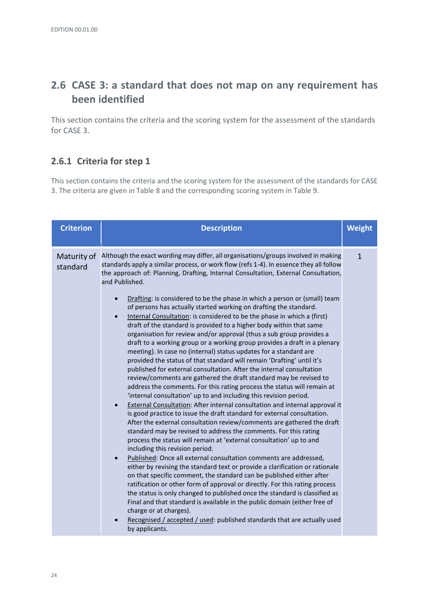# <span id="page-25-0"></span>**2.6 CASE 3: a standard that does not map on any requirement has been identified**

This section contains the criteria and the scoring system for the assessment of the standards for CASE 3.

#### <span id="page-25-1"></span>**2.6.1 Criteria for step 1**

This section contains the criteria and the scoring system for the assessment of the standards for CASE 3. The criteria are given i[n Table 8](#page-26-0) and the corresponding scoring system i[n Table 9.](#page-26-1)

| <b>Criterion</b>        | <b>Description</b>                                                                                                                                                                                                                                                                                                                                                                                                                                                                                                                                                                                                                                                                                                                                                                                                                                                                                                                                                                                                                                                                                                                                                                                                  | <b>Weight</b> |
|-------------------------|---------------------------------------------------------------------------------------------------------------------------------------------------------------------------------------------------------------------------------------------------------------------------------------------------------------------------------------------------------------------------------------------------------------------------------------------------------------------------------------------------------------------------------------------------------------------------------------------------------------------------------------------------------------------------------------------------------------------------------------------------------------------------------------------------------------------------------------------------------------------------------------------------------------------------------------------------------------------------------------------------------------------------------------------------------------------------------------------------------------------------------------------------------------------------------------------------------------------|---------------|
| Maturity of<br>standard | Although the exact wording may differ, all organisations/groups involved in making<br>standards apply a similar process, or work flow (refs 1-4). In essence they all follow<br>the approach of: Planning, Drafting, Internal Consultation, External Consultation,<br>and Published.<br>Drafting: is considered to be the phase in which a person or (small) team<br>$\bullet$<br>of persons has actually started working on drafting the standard.<br>Internal Consultation: is considered to be the phase in which a (first)<br>$\bullet$<br>draft of the standard is provided to a higher body within that same<br>organisation for review and/or approval (thus a sub group provides a<br>draft to a working group or a working group provides a draft in a plenary<br>meeting). In case no (internal) status updates for a standard are<br>provided the status of that standard will remain 'Drafting' until it's<br>published for external consultation. After the internal consultation<br>review/comments are gathered the draft standard may be revised to<br>address the comments. For this rating process the status will remain at<br>'internal consultation' up to and including this revision period. | $\mathbf{1}$  |
|                         | External Consultation: After internal consultation and internal approval it<br>$\bullet$<br>is good practice to issue the draft standard for external consultation.<br>After the external consultation review/comments are gathered the draft<br>standard may be revised to address the comments. For this rating<br>process the status will remain at 'external consultation' up to and<br>including this revision period.<br>Published: Once all external consultation comments are addressed,<br>either by revising the standard text or provide a clarification or rationale<br>on that specific comment, the standard can be published either after<br>ratification or other form of approval or directly. For this rating process<br>the status is only changed to published once the standard is classified as<br>Final and that standard is available in the public domain (either free of<br>charge or at charges).<br>Recognised / accepted / used: published standards that are actually used<br>by applicants.                                                                                                                                                                                          |               |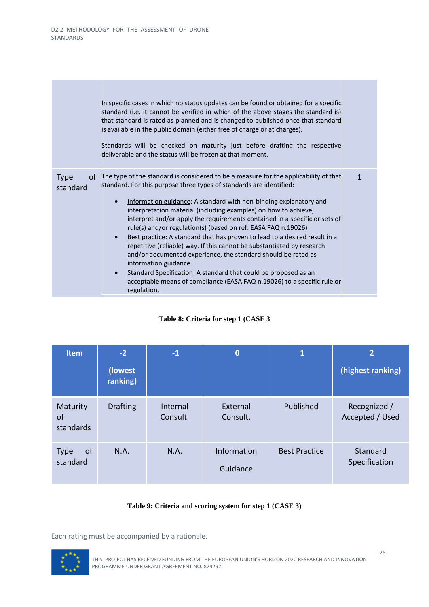|                               | In specific cases in which no status updates can be found or obtained for a specific<br>standard (i.e. it cannot be verified in which of the above stages the standard is)<br>that standard is rated as planned and is changed to published once that standard<br>is available in the public domain (either free of charge or at charges).<br>Standards will be checked on maturity just before drafting the respective<br>deliverable and the status will be frozen at that moment.                                                                                                                                                                                                                                                                                                                                                                                                        |   |
|-------------------------------|---------------------------------------------------------------------------------------------------------------------------------------------------------------------------------------------------------------------------------------------------------------------------------------------------------------------------------------------------------------------------------------------------------------------------------------------------------------------------------------------------------------------------------------------------------------------------------------------------------------------------------------------------------------------------------------------------------------------------------------------------------------------------------------------------------------------------------------------------------------------------------------------|---|
| <b>Type</b><br>of<br>standard | The type of the standard is considered to be a measure for the applicability of that<br>standard. For this purpose three types of standards are identified:<br>Information guidance: A standard with non-binding explanatory and<br>interpretation material (including examples) on how to achieve,<br>interpret and/or apply the requirements contained in a specific or sets of<br>rule(s) and/or regulation(s) (based on ref: EASA FAQ n.19026)<br>Best practice: A standard that has proven to lead to a desired result in a<br>$\bullet$<br>repetitive (reliable) way. If this cannot be substantiated by research<br>and/or documented experience, the standard should be rated as<br>information guidance.<br>Standard Specification: A standard that could be proposed as an<br>$\bullet$<br>acceptable means of compliance (EASA FAQ n.19026) to a specific rule or<br>regulation. | 1 |

#### **Table 8: Criteria for step 1 (CASE 3**

<span id="page-26-0"></span>

| <b>Item</b>                   | $-2$<br>(lowest)<br>ranking) | $-1$                 | $\mathbf 0$             | $\overline{1}$       | $\overline{2}$<br>(highest ranking) |
|-------------------------------|------------------------------|----------------------|-------------------------|----------------------|-------------------------------------|
| Maturity<br>of<br>standards   | <b>Drafting</b>              | Internal<br>Consult. | External<br>Consult.    | Published            | Recognized /<br>Accepted / Used     |
| of<br><b>Type</b><br>standard | N.A.                         | N.A.                 | Information<br>Guidance | <b>Best Practice</b> | Standard<br>Specification           |

#### **Table 9: Criteria and scoring system for step 1 (CASE 3)**

<span id="page-26-1"></span>Each rating must be accompanied by a rationale.

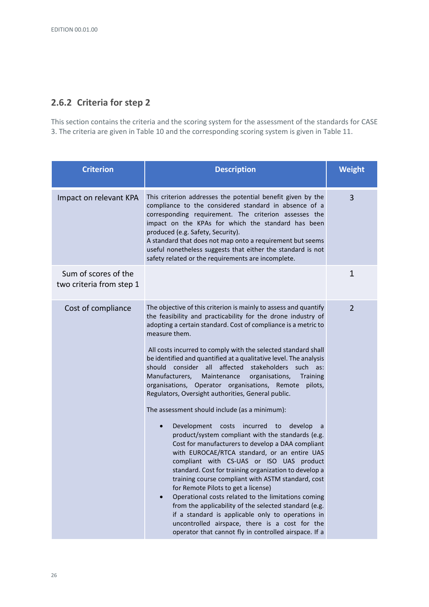# <span id="page-27-0"></span>**2.6.2 Criteria for step 2**

This section contains the criteria and the scoring system for the assessment of the standards for CASE 3. The criteria are given i[n Table 10](#page-29-0) and the corresponding scoring system is given i[n Table 11.](#page-30-1)

| <b>Criterion</b>                                 | <b>Description</b>                                                                                                                                                                                                                                                                                                                                                                                                                                                                                                                                                                                                                                                                                                                                                                                                                                                                                                                                                                                                                                                                                                                                                                                                                                                                                                                                                                          | <b>Weight</b>  |
|--------------------------------------------------|---------------------------------------------------------------------------------------------------------------------------------------------------------------------------------------------------------------------------------------------------------------------------------------------------------------------------------------------------------------------------------------------------------------------------------------------------------------------------------------------------------------------------------------------------------------------------------------------------------------------------------------------------------------------------------------------------------------------------------------------------------------------------------------------------------------------------------------------------------------------------------------------------------------------------------------------------------------------------------------------------------------------------------------------------------------------------------------------------------------------------------------------------------------------------------------------------------------------------------------------------------------------------------------------------------------------------------------------------------------------------------------------|----------------|
| Impact on relevant KPA                           | This criterion addresses the potential benefit given by the<br>compliance to the considered standard in absence of a<br>corresponding requirement. The criterion assesses the<br>impact on the KPAs for which the standard has been<br>produced (e.g. Safety, Security).<br>A standard that does not map onto a requirement but seems<br>useful nonetheless suggests that either the standard is not<br>safety related or the requirements are incomplete.                                                                                                                                                                                                                                                                                                                                                                                                                                                                                                                                                                                                                                                                                                                                                                                                                                                                                                                                  | $\overline{3}$ |
| Sum of scores of the<br>two criteria from step 1 |                                                                                                                                                                                                                                                                                                                                                                                                                                                                                                                                                                                                                                                                                                                                                                                                                                                                                                                                                                                                                                                                                                                                                                                                                                                                                                                                                                                             | 1              |
| Cost of compliance                               | The objective of this criterion is mainly to assess and quantify<br>the feasibility and practicability for the drone industry of<br>adopting a certain standard. Cost of compliance is a metric to<br>measure them.<br>All costs incurred to comply with the selected standard shall<br>be identified and quantified at a qualitative level. The analysis<br>should consider all affected<br>stakeholders<br>such<br>as:<br>Manufacturers,<br>Maintenance<br>organisations,<br><b>Training</b><br>organisations, Operator organisations, Remote<br>pilots,<br>Regulators, Oversight authorities, General public.<br>The assessment should include (as a minimum):<br>Development<br>costs incurred to<br>develop<br>$\bullet$<br>a<br>product/system compliant with the standards (e.g.<br>Cost for manufacturers to develop a DAA compliant<br>with EUROCAE/RTCA standard, or an entire UAS<br>compliant with CS-UAS or ISO UAS product<br>standard. Cost for training organization to develop a<br>training course compliant with ASTM standard, cost<br>for Remote Pilots to get a license)<br>Operational costs related to the limitations coming<br>$\bullet$<br>from the applicability of the selected standard (e.g.<br>if a standard is applicable only to operations in<br>uncontrolled airspace, there is a cost for the<br>operator that cannot fly in controlled airspace. If a | $\overline{2}$ |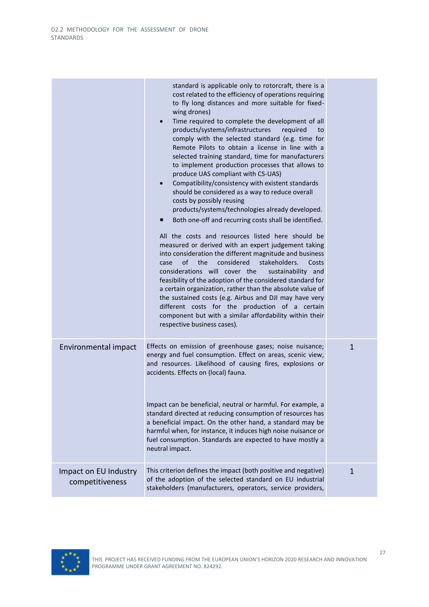|                                          | standard is applicable only to rotorcraft, there is a<br>cost related to the efficiency of operations requiring<br>to fly long distances and more suitable for fixed-<br>wing drones)<br>Time required to complete the development of all<br>$\bullet$<br>products/systems/infrastructures<br>required<br>to<br>comply with the selected standard (e.g. time for<br>Remote Pilots to obtain a license in line with a<br>selected training standard, time for manufacturers<br>to implement production processes that allows to<br>produce UAS compliant with CS-UAS)<br>Compatibility/consistency with existent standards<br>$\bullet$<br>should be considered as a way to reduce overall<br>costs by possibly reusing<br>products/systems/technologies already developed.<br>Both one-off and recurring costs shall be identified.<br>$\bullet$<br>All the costs and resources listed here should be<br>measured or derived with an expert judgement taking<br>into consideration the different magnitude and business<br>of<br>considered<br>stakeholders.<br>the<br>case<br>Costs<br>considerations will cover the<br>sustainability and<br>feasibility of the adoption of the considered standard for<br>a certain organization, rather than the absolute value of<br>the sustained costs (e.g. Airbus and DJI may have very<br>different costs for the production of a certain<br>component but with a similar affordability within their<br>respective business cases). |              |
|------------------------------------------|-------------------------------------------------------------------------------------------------------------------------------------------------------------------------------------------------------------------------------------------------------------------------------------------------------------------------------------------------------------------------------------------------------------------------------------------------------------------------------------------------------------------------------------------------------------------------------------------------------------------------------------------------------------------------------------------------------------------------------------------------------------------------------------------------------------------------------------------------------------------------------------------------------------------------------------------------------------------------------------------------------------------------------------------------------------------------------------------------------------------------------------------------------------------------------------------------------------------------------------------------------------------------------------------------------------------------------------------------------------------------------------------------------------------------------------------------------------------------------|--------------|
| Environmental impact                     | Effects on emission of greenhouse gases; noise nuisance;<br>energy and fuel consumption. Effect on areas, scenic view,<br>and resources. Likelihood of causing fires, explosions or<br>accidents. Effects on (local) fauna.<br>Impact can be beneficial, neutral or harmful. For example, a<br>standard directed at reducing consumption of resources has<br>a beneficial impact. On the other hand, a standard may be<br>harmful when, for instance, it induces high noise nuisance or<br>fuel consumption. Standards are expected to have mostly a<br>neutral impact.                                                                                                                                                                                                                                                                                                                                                                                                                                                                                                                                                                                                                                                                                                                                                                                                                                                                                                       | $\mathbf{1}$ |
| Impact on EU Industry<br>competitiveness | This criterion defines the impact (both positive and negative)<br>of the adoption of the selected standard on EU industrial<br>stakeholders (manufacturers, operators, service providers,                                                                                                                                                                                                                                                                                                                                                                                                                                                                                                                                                                                                                                                                                                                                                                                                                                                                                                                                                                                                                                                                                                                                                                                                                                                                                     | $\mathbf{1}$ |

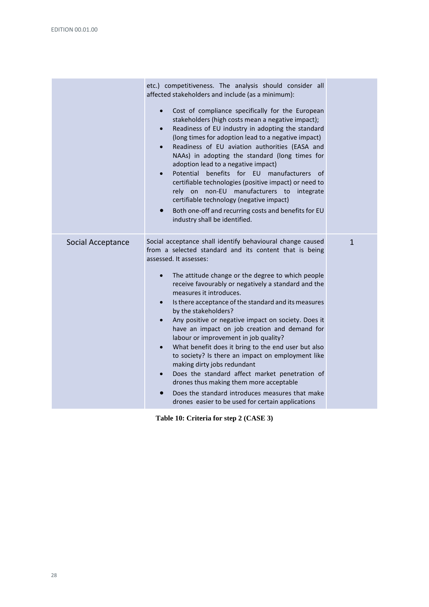|                   | etc.) competitiveness. The analysis should consider all<br>affected stakeholders and include (as a minimum):<br>Cost of compliance specifically for the European<br>$\bullet$<br>stakeholders (high costs mean a negative impact);<br>Readiness of EU industry in adopting the standard<br>$\bullet$<br>(long times for adoption lead to a negative impact)<br>Readiness of EU aviation authorities (EASA and<br>$\bullet$<br>NAAs) in adopting the standard (long times for<br>adoption lead to a negative impact)<br>Potential<br>benefits for EU manufacturers of<br>$\bullet$<br>certifiable technologies (positive impact) or need to<br>non-EU manufacturers to<br>on<br>rely<br>integrate<br>certifiable technology (negative impact)<br>Both one-off and recurring costs and benefits for EU<br>$\bullet$<br>industry shall be identified.                                                                                      |              |
|-------------------|-----------------------------------------------------------------------------------------------------------------------------------------------------------------------------------------------------------------------------------------------------------------------------------------------------------------------------------------------------------------------------------------------------------------------------------------------------------------------------------------------------------------------------------------------------------------------------------------------------------------------------------------------------------------------------------------------------------------------------------------------------------------------------------------------------------------------------------------------------------------------------------------------------------------------------------------|--------------|
| Social Acceptance | Social acceptance shall identify behavioural change caused<br>from a selected standard and its content that is being<br>assessed. It assesses:<br>The attitude change or the degree to which people<br>$\bullet$<br>receive favourably or negatively a standard and the<br>measures it introduces.<br>Is there acceptance of the standard and its measures<br>$\bullet$<br>by the stakeholders?<br>Any positive or negative impact on society. Does it<br>$\bullet$<br>have an impact on job creation and demand for<br>labour or improvement in job quality?<br>What benefit does it bring to the end user but also<br>$\bullet$<br>to society? Is there an impact on employment like<br>making dirty jobs redundant<br>Does the standard affect market penetration of<br>drones thus making them more acceptable<br>Does the standard introduces measures that make<br>$\bullet$<br>drones easier to be used for certain applications | $\mathbf{1}$ |

<span id="page-29-0"></span>**Table 10: Criteria for step 2 (CASE 3)**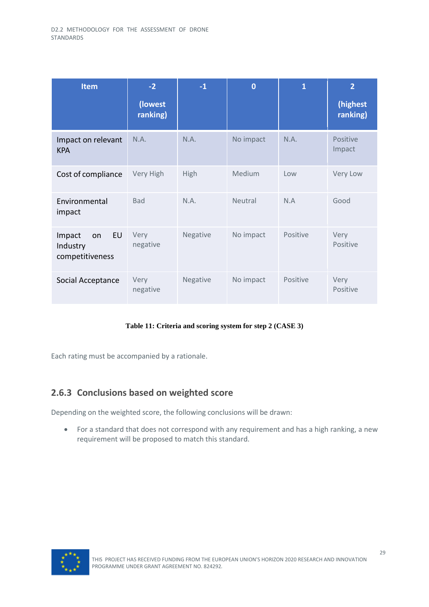| <b>Item</b>                                       | $-2$                | $-1$     | $\bf{0}$  | $\mathbf{1}$ | $\overline{2}$       |
|---------------------------------------------------|---------------------|----------|-----------|--------------|----------------------|
|                                                   | (lowest<br>ranking) |          |           |              | (highest<br>ranking) |
| Impact on relevant<br><b>KPA</b>                  | N.A.                | N.A.     | No impact | N.A.         | Positive<br>Impact   |
| Cost of compliance                                | Very High           | High     | Medium    | Low          | Very Low             |
| Environmental<br>impact                           | <b>Bad</b>          | N.A.     | Neutral   | N.A          | Good                 |
| EU<br>Impact<br>on<br>Industry<br>competitiveness | Very<br>negative    | Negative | No impact | Positive     | Very<br>Positive     |
| Social Acceptance                                 | Very<br>negative    | Negative | No impact | Positive     | Very<br>Positive     |

#### **Table 11: Criteria and scoring system for step 2 (CASE 3)**

<span id="page-30-1"></span>Each rating must be accompanied by a rationale.

#### <span id="page-30-0"></span>**2.6.3 Conclusions based on weighted score**

Depending on the weighted score, the following conclusions will be drawn:

• For a standard that does not correspond with any requirement and has a high ranking, a new requirement will be proposed to match this standard.

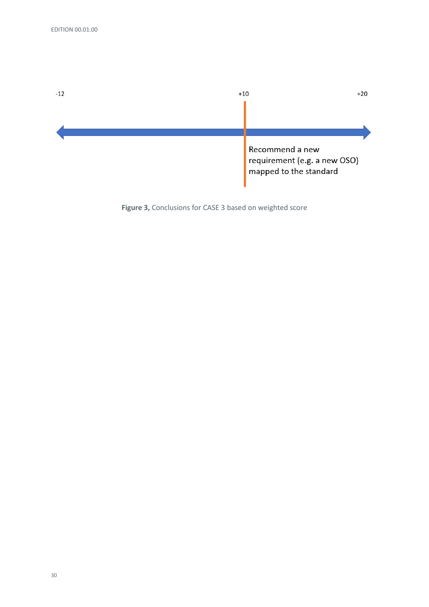

**Figure 3,** Conclusions for CASE 3 based on weighted score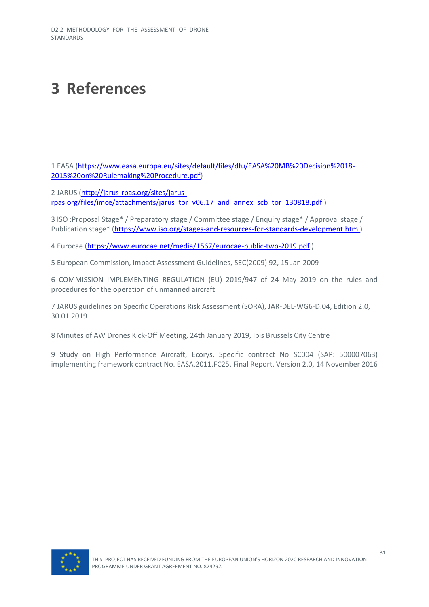# <span id="page-32-0"></span>**3 References**

1 EASA [\(https://www.easa.europa.eu/sites/default/files/dfu/EASA%20MB%20Decision%2018-](https://www.easa.europa.eu/sites/default/files/dfu/EASA%20MB%20Decision%2018-2015%20on%20Rulemaking%20Procedure.pdf) [2015%20on%20Rulemaking%20Procedure.pdf\)](https://www.easa.europa.eu/sites/default/files/dfu/EASA%20MB%20Decision%2018-2015%20on%20Rulemaking%20Procedure.pdf)

2 JARUS [\(http://jarus-rpas.org/sites/jarus](http://jarus-rpas.org/sites/jarus-rpas.org/files/imce/attachments/jarus_tor_v06.17_and_annex_scb_tor_130818.pdf)[rpas.org/files/imce/attachments/jarus\\_tor\\_v06.17\\_and\\_annex\\_scb\\_tor\\_130818.pdf](http://jarus-rpas.org/sites/jarus-rpas.org/files/imce/attachments/jarus_tor_v06.17_and_annex_scb_tor_130818.pdf) )

3 ISO :Proposal Stage\* / Preparatory stage / Committee stage / Enquiry stage\* / Approval stage / Publication stage\* [\(https://www.iso.org/stages-and-resources-for-standards-development.html\)](https://www.iso.org/stages-and-resources-for-standards-development.html)

4 Eurocae [\(https://www.eurocae.net/media/1567/eurocae-public-twp-2019.pdf](https://www.eurocae.net/media/1567/eurocae-public-twp-2019.pdf) )

5 European Commission, Impact Assessment Guidelines, SEC(2009) 92, 15 Jan 2009

6 COMMISSION IMPLEMENTING REGULATION (EU) 2019/947 of 24 May 2019 on the rules and procedures for the operation of unmanned aircraft

7 JARUS guidelines on Specific Operations Risk Assessment (SORA), JAR-DEL-WG6-D.04, Edition 2.0, 30.01.2019

8 Minutes of AW Drones Kick-Off Meeting, 24th January 2019, Ibis Brussels City Centre

9 Study on High Performance Aircraft, Ecorys, Specific contract No SC004 (SAP: 500007063) implementing framework contract No. EASA.2011.FC25, Final Report, Version 2.0, 14 November 2016

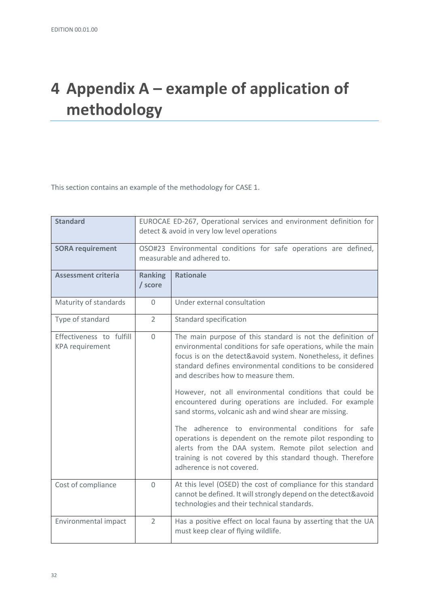# <span id="page-33-0"></span>**4 Appendix A – example of application of methodology**

This section contains an example of the methodology for CASE 1.

| <b>Standard</b>                                    | EUROCAE ED-267, Operational services and environment definition for<br>detect & avoid in very low level operations |                                                                                                                                                                                                                                                                                                                                                                                                                                                                                                                                                                                                                                                                                                                                                       |  |
|----------------------------------------------------|--------------------------------------------------------------------------------------------------------------------|-------------------------------------------------------------------------------------------------------------------------------------------------------------------------------------------------------------------------------------------------------------------------------------------------------------------------------------------------------------------------------------------------------------------------------------------------------------------------------------------------------------------------------------------------------------------------------------------------------------------------------------------------------------------------------------------------------------------------------------------------------|--|
| <b>SORA requirement</b>                            | OSO#23 Environmental conditions for safe operations are defined,<br>measurable and adhered to.                     |                                                                                                                                                                                                                                                                                                                                                                                                                                                                                                                                                                                                                                                                                                                                                       |  |
| <b>Assessment criteria</b>                         | <b>Ranking</b><br>/ score                                                                                          | <b>Rationale</b>                                                                                                                                                                                                                                                                                                                                                                                                                                                                                                                                                                                                                                                                                                                                      |  |
| Maturity of standards                              | $\Omega$                                                                                                           | Under external consultation                                                                                                                                                                                                                                                                                                                                                                                                                                                                                                                                                                                                                                                                                                                           |  |
| Type of standard                                   | $\overline{2}$                                                                                                     | <b>Standard specification</b>                                                                                                                                                                                                                                                                                                                                                                                                                                                                                                                                                                                                                                                                                                                         |  |
| Effectiveness to fulfill<br><b>KPA</b> requirement | $\Omega$                                                                                                           | The main purpose of this standard is not the definition of<br>environmental conditions for safe operations, while the main<br>focus is on the detect&avoid system. Nonetheless, it defines<br>standard defines environmental conditions to be considered<br>and describes how to measure them.<br>However, not all environmental conditions that could be<br>encountered during operations are included. For example<br>sand storms, volcanic ash and wind shear are missing.<br>The adherence to environmental conditions for safe<br>operations is dependent on the remote pilot responding to<br>alerts from the DAA system. Remote pilot selection and<br>training is not covered by this standard though. Therefore<br>adherence is not covered. |  |
| Cost of compliance                                 | $\Omega$                                                                                                           | At this level (OSED) the cost of compliance for this standard<br>cannot be defined. It will strongly depend on the detect&avoid<br>technologies and their technical standards.                                                                                                                                                                                                                                                                                                                                                                                                                                                                                                                                                                        |  |
| Environmental impact                               | $\overline{2}$                                                                                                     | Has a positive effect on local fauna by asserting that the UA<br>must keep clear of flying wildlife.                                                                                                                                                                                                                                                                                                                                                                                                                                                                                                                                                                                                                                                  |  |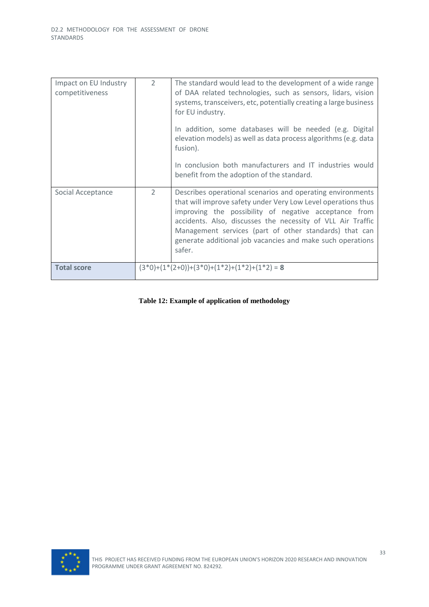| Impact on EU Industry<br>competitiveness | $\mathcal{P}$ | The standard would lead to the development of a wide range<br>of DAA related technologies, such as sensors, lidars, vision<br>systems, transceivers, etc, potentially creating a large business<br>for EU industry.                                                                                                                                                                   |
|------------------------------------------|---------------|---------------------------------------------------------------------------------------------------------------------------------------------------------------------------------------------------------------------------------------------------------------------------------------------------------------------------------------------------------------------------------------|
|                                          |               | In addition, some databases will be needed (e.g. Digital<br>elevation models) as well as data process algorithms (e.g. data<br>fusion).                                                                                                                                                                                                                                               |
|                                          |               | In conclusion both manufacturers and IT industries would<br>benefit from the adoption of the standard.                                                                                                                                                                                                                                                                                |
| Social Acceptance                        | $\mathcal{P}$ | Describes operational scenarios and operating environments<br>that will improve safety under Very Low Level operations thus<br>improving the possibility of negative acceptance from<br>accidents. Also, discusses the necessity of VLL Air Traffic<br>Management services (part of other standards) that can<br>generate additional job vacancies and make such operations<br>safer. |
| <b>Total score</b>                       |               | $(3*0)+(1*(2+0))+(3*0)+(1*2)+(1*2)+(1*2)=8$                                                                                                                                                                                                                                                                                                                                           |

#### **Table 12: Example of application of methodology**

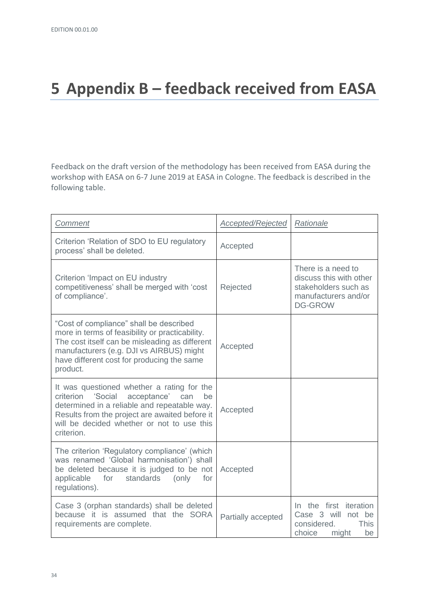# <span id="page-35-0"></span>**5 Appendix B – feedback received from EASA**

Feedback on the draft version of the methodology has been received from EASA during the workshop with EASA on 6-7 June 2019 at EASA in Cologne. The feedback is described in the following table.

| Comment                                                                                                                                                                                                                                                      | Accepted/Rejected  | Rationale                                                                                                       |
|--------------------------------------------------------------------------------------------------------------------------------------------------------------------------------------------------------------------------------------------------------------|--------------------|-----------------------------------------------------------------------------------------------------------------|
| Criterion 'Relation of SDO to EU regulatory<br>process' shall be deleted.                                                                                                                                                                                    | Accepted           |                                                                                                                 |
| Criterion 'Impact on EU industry<br>competitiveness' shall be merged with 'cost<br>of compliance'.                                                                                                                                                           | Rejected           | There is a need to<br>discuss this with other<br>stakeholders such as<br>manufacturers and/or<br><b>DG-GROW</b> |
| "Cost of compliance" shall be described<br>more in terms of feasibility or practicability.<br>The cost itself can be misleading as different<br>manufacturers (e.g. DJI vs AIRBUS) might<br>have different cost for producing the same<br>product.           | Accepted           |                                                                                                                 |
| It was questioned whether a rating for the<br>'Social<br>acceptance'<br>criterion<br>can<br>be<br>determined in a reliable and repeatable way.<br>Results from the project are awaited before it<br>will be decided whether or not to use this<br>criterion. | Accepted           |                                                                                                                 |
| The criterion 'Regulatory compliance' (which<br>was renamed 'Global harmonisation') shall<br>be deleted because it is judged to be not<br>standards<br>applicable<br>for<br>(only<br>for<br>regulations).                                                    | Accepted           |                                                                                                                 |
| Case 3 (orphan standards) shall be deleted<br>because it is assumed that the SORA<br>requirements are complete.                                                                                                                                              | Partially accepted | In the first iteration<br>Case 3 will<br>not be<br>considered.<br><b>This</b><br>choice<br>might<br>be          |